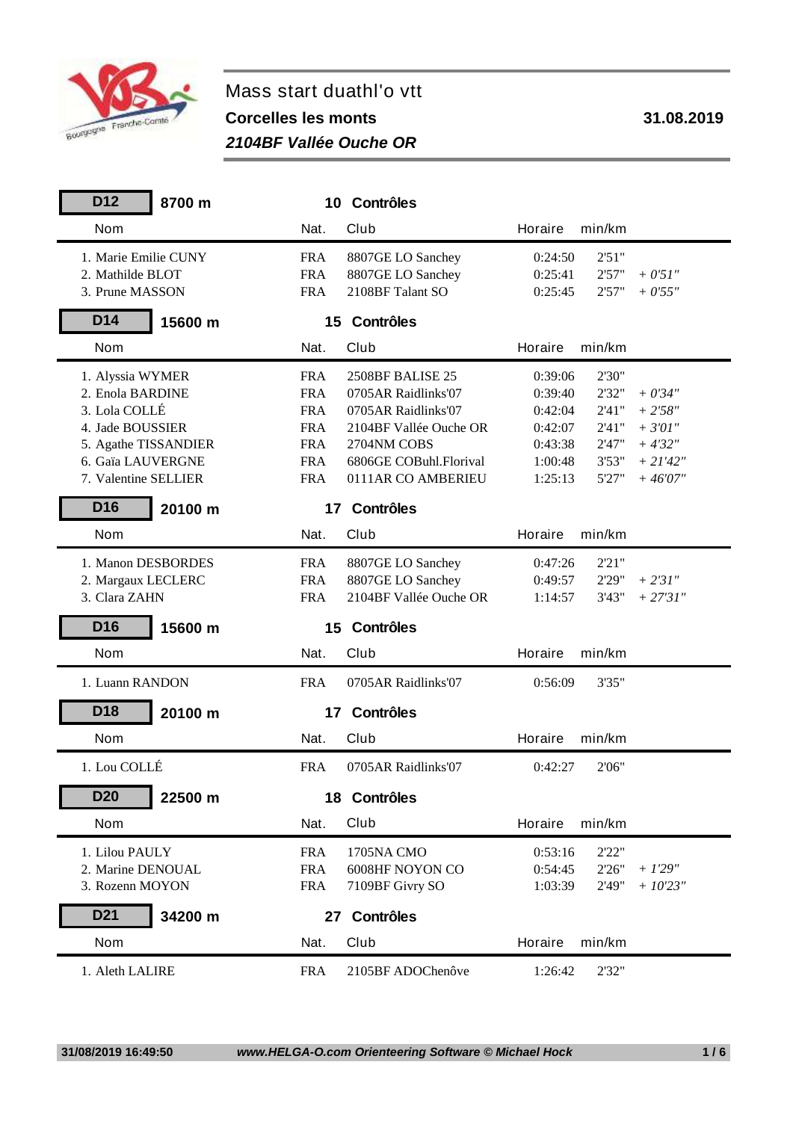

## **Mass start duathl'o vtt Corcelles les monts 31.08.2019**

## *2104BF Vallée Ouche OR*

| D <sub>12</sub><br>8700 m  |            | 10 Contrôles           |         |                      |  |
|----------------------------|------------|------------------------|---------|----------------------|--|
| <b>Nom</b>                 | Nat.       | Club                   | Horaire | min/km               |  |
| 1. Marie Emilie CUNY       | <b>FRA</b> | 8807GE LO Sanchey      | 0:24:50 | 2'51"                |  |
| 2. Mathilde BLOT           | <b>FRA</b> | 8807GE LO Sanchey      | 0:25:41 | 2'57"<br>$+ 0'51''$  |  |
| 3. Prune MASSON            | <b>FRA</b> | 2108BF Talant SO       | 0:25:45 | 2'57"<br>$+0'55"$    |  |
| D14<br>15600 m             |            | 15 Contrôles           |         |                      |  |
| <b>Nom</b>                 | Nat.       | Club                   | Horaire | min/km               |  |
| 1. Alyssia WYMER           | <b>FRA</b> | 2508BF BALISE 25       | 0:39:06 | 2'30"                |  |
| 2. Enola BARDINE           | <b>FRA</b> | 0705AR Raidlinks'07    | 0:39:40 | 2'32"<br>$+0'34"$    |  |
| 3. Lola COLLÉ              | <b>FRA</b> | 0705AR Raidlinks'07    | 0:42:04 | 2'41''<br>$+2'58''$  |  |
| 4. Jade BOUSSIER           | <b>FRA</b> | 2104BF Vallée Ouche OR | 0:42:07 | $+3'01''$<br>2'41''  |  |
| 5. Agathe TISSANDIER       | <b>FRA</b> | 2704NM COBS            | 0:43:38 | 2'47"<br>$+4'32''$   |  |
| 6. Gaïa LAUVERGNE          | <b>FRA</b> | 6806GE COBuhl.Florival | 1:00:48 | 3'53"<br>$+ 21'42''$ |  |
| 7. Valentine SELLIER       | <b>FRA</b> | 0111AR CO AMBERIEU     | 1:25:13 | 5'27"<br>$+46'07"$   |  |
| D <sub>16</sub><br>20100 m |            | 17 Contrôles           |         |                      |  |
| <b>Nom</b>                 | Nat.       | Club                   | Horaire | min/km               |  |
| 1. Manon DESBORDES         | <b>FRA</b> | 8807GE LO Sanchey      | 0:47:26 | 2'21"                |  |
| 2. Margaux LECLERC         | <b>FRA</b> | 8807GE LO Sanchey      | 0:49:57 | 2'29"<br>$+ 2'31''$  |  |
| 3. Clara ZAHN              | <b>FRA</b> | 2104BF Vallée Ouche OR | 1:14:57 | 3'43"<br>$+ 27'31''$ |  |
| D <sub>16</sub><br>15600 m |            | 15 Contrôles           |         |                      |  |
| <b>Nom</b>                 | Nat.       | <b>Club</b>            | Horaire | min/km               |  |
| 1. Luann RANDON            | <b>FRA</b> | 0705AR Raidlinks'07    | 0:56:09 | 3'35"                |  |
| D <sub>18</sub><br>20100 m | 17         | <b>Contrôles</b>       |         |                      |  |
| <b>Nom</b>                 | Nat.       | <b>Club</b>            | Horaire | min/km               |  |
| 1. Lou COLLÉ               | <b>FRA</b> | 0705AR Raidlinks'07    | 0:42:27 | 2'06"                |  |
| D <sub>20</sub><br>22500 m |            | 18 Contrôles           |         |                      |  |
| <b>Nom</b>                 | Nat.       | <b>Club</b>            | Horaire | min/km               |  |
| 1. Lilou PAULY             | <b>FRA</b> | 1705NA CMO             | 0:53:16 | 2'22"                |  |
| 2. Marine DENOUAL          | <b>FRA</b> | 6008HF NOYON CO        | 0:54:45 | 2'26"<br>$+1'29''$   |  |
| 3. Rozenn MOYON            | <b>FRA</b> | 7109BF Givry SO        | 1:03:39 | 2'49"<br>$+ 10'23''$ |  |
| D <sub>21</sub><br>34200 m |            | 27 Contrôles           |         |                      |  |
| <b>Nom</b>                 | Nat.       | Club                   | Horaire | min/km               |  |
| 1. Aleth LALIRE            | <b>FRA</b> | 2105BF ADOChenôve      | 1:26:42 | 2'32"                |  |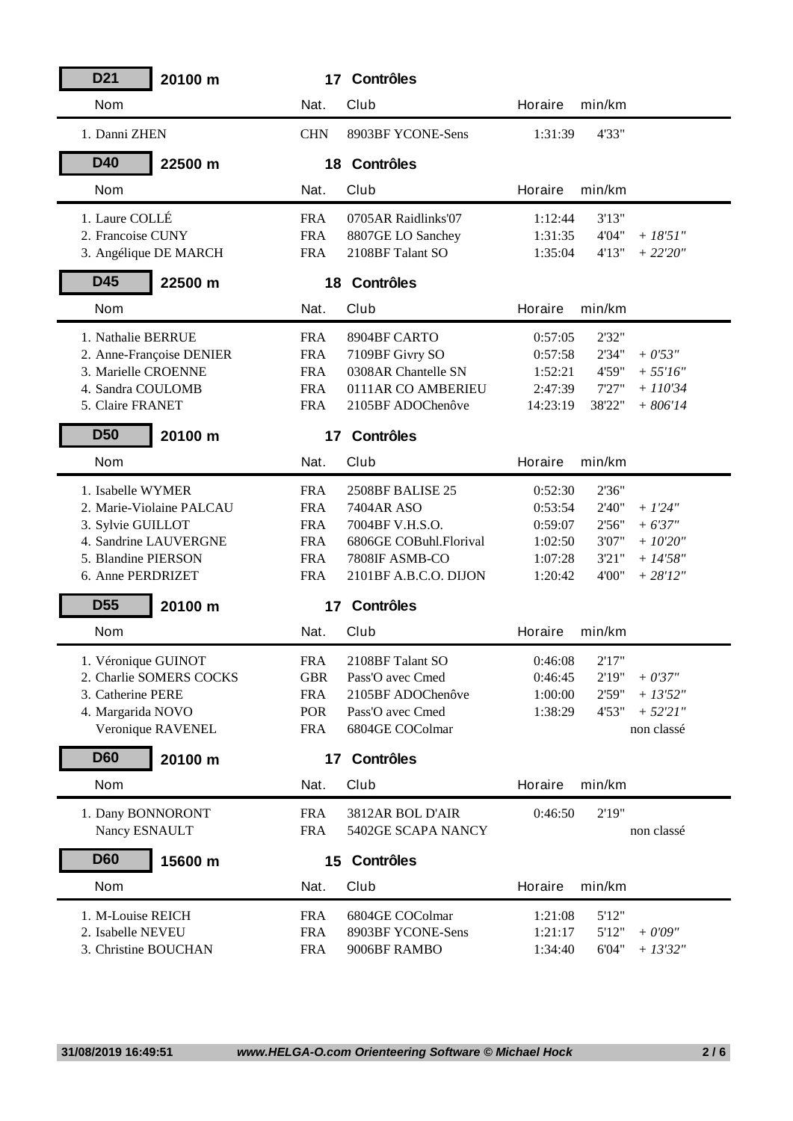| D <sub>21</sub><br>20100 m |            | 17 Contrôles           |                |        |             |
|----------------------------|------------|------------------------|----------------|--------|-------------|
| <b>Nom</b>                 | Nat.       | <b>Club</b>            | Horaire        | min/km |             |
| 1. Danni ZHEN              | <b>CHN</b> | 8903BF YCONE-Sens      | 1:31:39        | 4'33"  |             |
| <b>D40</b><br>22500 m      |            | 18 Contrôles           |                |        |             |
| <b>Nom</b>                 | Nat.       | Club                   | Horaire        | min/km |             |
| 1. Laure COLLÉ             | <b>FRA</b> | 0705AR Raidlinks'07    | 1:12:44        | 3'13"  |             |
| 2. Francoise CUNY          | <b>FRA</b> | 8807GE LO Sanchey      | 1:31:35        | 4'04"  | $+ 18'51''$ |
| 3. Angélique DE MARCH      | <b>FRA</b> | 2108BF Talant SO       | 1:35:04        | 4'13"  | $+22'20''$  |
| D45<br>22500 m             |            | 18 Contrôles           |                |        |             |
| <b>Nom</b>                 | Nat.       | Club                   | Horaire        | min/km |             |
| 1. Nathalie BERRUE         | <b>FRA</b> | 8904BF CARTO           | 0:57:05        | 2'32"  |             |
| 2. Anne-Françoise DENIER   | <b>FRA</b> | 7109BF Givry SO        | 0:57:58        | 2'34"  | $+0'53"$    |
| 3. Marielle CROENNE        | <b>FRA</b> | 0308AR Chantelle SN    | 1:52:21        | 4'59"  | $+ 55'16''$ |
| 4. Sandra COULOMB          | <b>FRA</b> | 0111AR CO AMBERIEU     | 2:47:39        | 7'27"  | $+ 110'34$  |
| 5. Claire FRANET           | <b>FRA</b> | 2105BF ADOChenôve      | 14:23:19       | 38'22" | $+806'14$   |
| <b>D50</b><br>20100 m      |            | 17 Contrôles           |                |        |             |
| <b>Nom</b>                 | Nat.       | Club                   | Horaire        | min/km |             |
| 1. Isabelle WYMER          | <b>FRA</b> | 2508BF BALISE 25       | 0:52:30        | 2'36"  |             |
| 2. Marie-Violaine PALCAU   | <b>FRA</b> | 7404AR ASO             | 0:53:54        | 2'40"  | $+ 1'24''$  |
| 3. Sylvie GUILLOT          | <b>FRA</b> | 7004BF V.H.S.O.        | 0:59:07        | 2'56"  | $+ 6'37''$  |
| 4. Sandrine LAUVERGNE      | <b>FRA</b> | 6806GE COBuhl.Florival | 1:02:50        | 3'07"  | $+ 1020"$   |
| 5. Blandine PIERSON        | <b>FRA</b> | 7808IF ASMB-CO         | 1:07:28        | 3'21"  | $+ 14'58''$ |
| 6. Anne PERDRIZET          | <b>FRA</b> | 2101BF A.B.C.O. DIJON  | 1:20:42        | 4'00"  | $+ 28'12''$ |
| <b>D55</b><br>20100 m      | 17         | <b>Contrôles</b>       |                |        |             |
| <b>Nom</b>                 | Nat.       | Club                   | Horaire        | min/km |             |
| 1. Véronique GUINOT        | <b>FRA</b> | 2108BF Talant SO       | 0:46:08        | 2'17"  |             |
| 2. Charlie SOMERS COCKS    | <b>GBR</b> | Pass'O avec Cmed       | 0:46:45        | 2'19"  | $+ 0'37''$  |
| 3. Catherine PERE          | <b>FRA</b> | 2105BF ADOChenôve      | 1:00:00        | 2'59"  | $+ 13'52''$ |
| 4. Margarida NOVO          | POR        | Pass'O avec Cmed       | 1:38:29        | 4'53"  | $+ 52'21''$ |
| Veronique RAVENEL          | <b>FRA</b> | 6804GE COColmar        |                |        | non classé  |
| <b>D60</b><br>20100 m      | 17         | <b>Contrôles</b>       |                |        |             |
| <b>Nom</b>                 | Nat.       | Club                   | <b>Horaire</b> | min/km |             |
| 1. Dany BONNORONT          | <b>FRA</b> | 3812AR BOL D'AIR       | 0:46:50        | 2'19"  |             |
| Nancy ESNAULT              | <b>FRA</b> | 5402GE SCAPA NANCY     |                |        | non classé  |
| <b>D60</b><br>15600 m      |            | 15 Contrôles           |                |        |             |
| <b>Nom</b>                 | Nat.       | Club                   | Horaire        | min/km |             |
| 1. M-Louise REICH          | <b>FRA</b> | 6804GE COColmar        | 1:21:08        | 5'12"  |             |
| 2. Isabelle NEVEU          | <b>FRA</b> | 8903BF YCONE-Sens      | 1:21:17        | 5'12"  | $+0'09''$   |
| 3. Christine BOUCHAN       | <b>FRA</b> | 9006BF RAMBO           | 1:34:40        | 6'04"  | $+ 13'32''$ |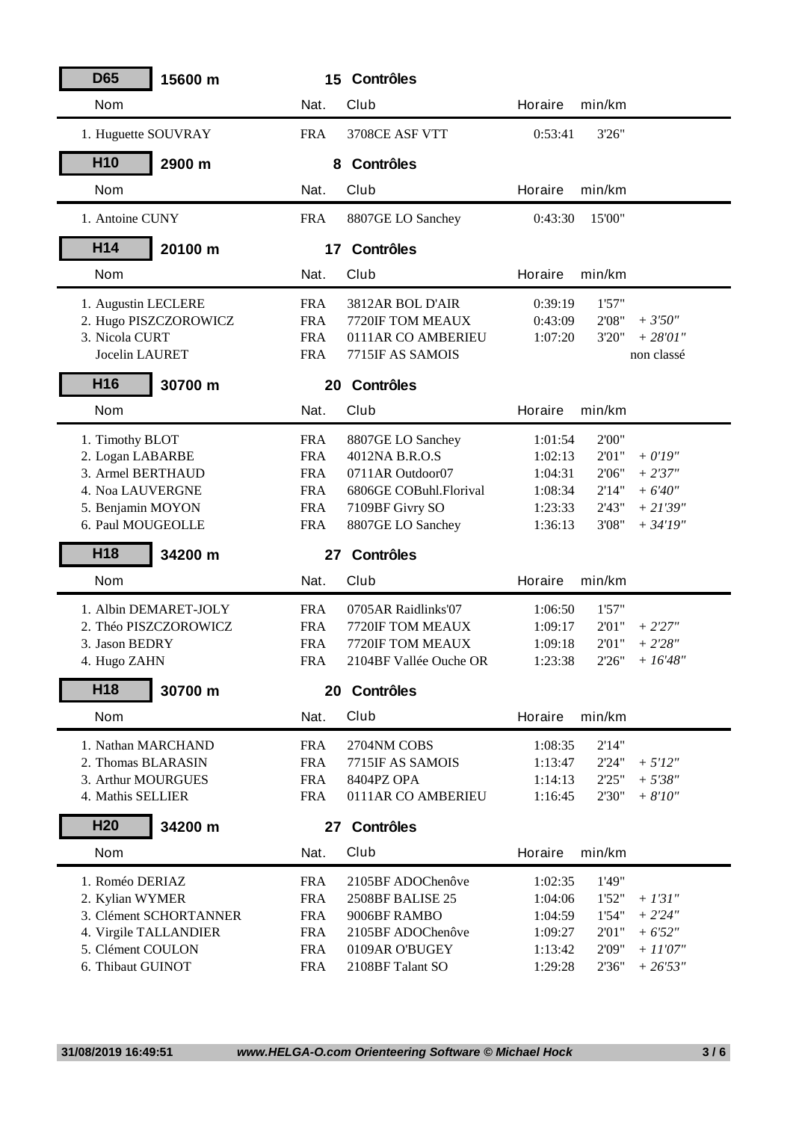| <b>D65</b><br>15600 m                      |                          | 15 Contrôles                        |                    |                |                                |
|--------------------------------------------|--------------------------|-------------------------------------|--------------------|----------------|--------------------------------|
| <b>Nom</b>                                 | Nat.                     | <b>Club</b>                         | Horaire            | min/km         |                                |
| 1. Huguette SOUVRAY                        | <b>FRA</b>               | 3708CE ASF VTT                      | 0:53:41            | 3'26"          |                                |
| H <sub>10</sub><br>2900 m                  | 8                        | <b>Contrôles</b>                    |                    |                |                                |
| <b>Nom</b>                                 | Nat.                     | Club                                | Horaire            | min/km         |                                |
| 1. Antoine CUNY                            | <b>FRA</b>               | 8807GE LO Sanchey                   | 0:43:30            | 15'00"         |                                |
| H14<br>20100 m                             | 17                       | <b>Contrôles</b>                    |                    |                |                                |
| <b>Nom</b>                                 | Nat.                     | <b>Club</b>                         | Horaire            | min/km         |                                |
| 1. Augustin LECLERE                        | <b>FRA</b>               | 3812AR BOL D'AIR                    | 0:39:19            | 1'57"          |                                |
| 2. Hugo PISZCZOROWICZ                      | <b>FRA</b>               | 7720IF TOM MEAUX                    | 0:43:09            | 2'08"          | $+3'50''$                      |
| 3. Nicola CURT                             | <b>FRA</b>               | 0111AR CO AMBERIEU                  | 1:07:20            | 3'20"          | $+ 28'01''$                    |
| Jocelin LAURET                             | <b>FRA</b>               | 7715IF AS SAMOIS                    |                    |                | non classé                     |
| H <sub>16</sub><br>30700 m                 |                          | 20 Contrôles                        |                    |                |                                |
| <b>Nom</b>                                 | Nat.                     | <b>Club</b>                         | Horaire            | min/km         |                                |
| 1. Timothy BLOT                            | <b>FRA</b>               | 8807GE LO Sanchey                   | 1:01:54            | 2'00"          |                                |
| 2. Logan LABARBE                           | <b>FRA</b>               | 4012NA B.R.O.S                      | 1:02:13            | 2'01"          | $+ 0'19''$                     |
| 3. Armel BERTHAUD                          | <b>FRA</b>               | 0711AR Outdoor07                    | 1:04:31            | 2'06"          | $+2'37''$                      |
| 4. Noa LAUVERGNE                           | <b>FRA</b>               | 6806GE COBuhl.Florival              | 1:08:34            | 2'14"          | $+ 6'40''$                     |
| 5. Benjamin MOYON                          | <b>FRA</b>               | 7109BF Givry SO                     | 1:23:33            | 2'43"          | $+21'39''$                     |
| 6. Paul MOUGEOLLE                          | <b>FRA</b>               | 8807GE LO Sanchey                   | 1:36:13            | 3'08"          | $+ 34'19''$                    |
|                                            |                          |                                     |                    |                |                                |
| H <sub>18</sub><br>34200 m                 | 27                       | <b>Contrôles</b>                    |                    |                |                                |
| <b>Nom</b>                                 | Nat.                     | Club                                | Horaire            | min/km         |                                |
| 1. Albin DEMARET-JOLY                      | <b>FRA</b>               | 0705AR Raidlinks'07                 | 1:06:50            | 1'57"          |                                |
| 2. Théo PISZCZOROWICZ                      | <b>FRA</b>               | 7720IF TOM MEAUX                    | 1:09:17            | 2'01"          | $+2'27''$                      |
| 3. Jason BEDRY                             | <b>FRA</b>               | 7720IF TOM MEAUX                    | 1:09:18            | 2'01"          | $+2'28''$                      |
| 4. Hugo ZAHN                               | <b>FRA</b>               | 2104BF Vallée Ouche OR              | 1:23:38            | 2'26"          | $+16'48''$                     |
| H <sub>18</sub><br>30700 m                 |                          | 20 Contrôles                        |                    |                |                                |
| <b>Nom</b>                                 | Nat.                     | Club                                | Horaire            | min/km         |                                |
| 1. Nathan MARCHAND                         | <b>FRA</b>               | 2704NM COBS                         | 1:08:35            | 2'14"          |                                |
| 2. Thomas BLARASIN                         | <b>FRA</b>               | 7715IF AS SAMOIS                    | 1:13:47            | 2'24"          | $+ 5'12''$                     |
| 3. Arthur MOURGUES                         | <b>FRA</b>               | 8404PZ OPA                          | 1:14:13            | 2'25"          | $+ 5'38''$                     |
| 4. Mathis SELLIER                          | <b>FRA</b>               | 0111AR CO AMBERIEU                  | 1:16:45            | 2'30"          | $+8'10''$                      |
| H <sub>20</sub><br>34200 m                 | 27                       | <b>Contrôles</b>                    |                    |                |                                |
| <b>Nom</b>                                 | Nat.                     | Club                                | Horaire            | min/km         |                                |
|                                            |                          |                                     |                    |                |                                |
| 1. Roméo DERIAZ                            | <b>FRA</b>               | 2105BF ADOChenôve                   | 1:02:35            | 1'49"          |                                |
| 2. Kylian WYMER                            | <b>FRA</b>               | 2508BF BALISE 25                    | 1:04:06            | 1'52"          | $+ 1'31''$                     |
| 3. Clément SCHORTANNER                     | <b>FRA</b>               | 9006BF RAMBO                        | 1:04:59            | 1'54"          | $+ 2'24''$                     |
| 4. Virgile TALLANDIER<br>5. Clément COULON | <b>FRA</b><br><b>FRA</b> | 2105BF ADOChenôve<br>0109AR O'BUGEY | 1:09:27<br>1:13:42 | 2'01"<br>2'09" | $+ 6'52"$<br>$+$ $\it 11'07''$ |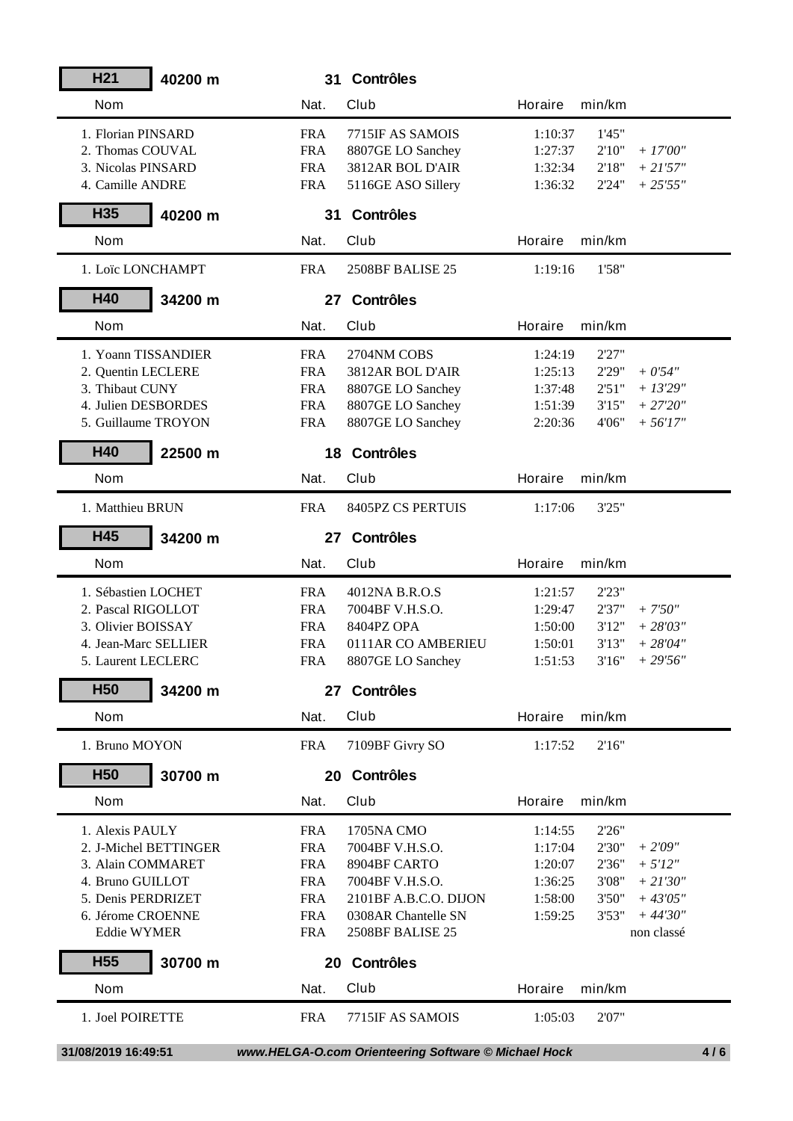| H <sub>21</sub>       | 40200 m |            | 31 Contrôles                                         |                |        |             |     |
|-----------------------|---------|------------|------------------------------------------------------|----------------|--------|-------------|-----|
| <b>Nom</b>            |         | Nat.       | Club                                                 | Horaire        | min/km |             |     |
| 1. Florian PINSARD    |         | <b>FRA</b> | 7715IF AS SAMOIS                                     | 1:10:37        | 1'45"  |             |     |
| 2. Thomas COUVAL      |         | <b>FRA</b> | 8807GE LO Sanchey                                    | 1:27:37        | 2'10"  | $+17'00''$  |     |
| 3. Nicolas PINSARD    |         | <b>FRA</b> | 3812AR BOL D'AIR                                     | 1:32:34        | 2'18"  | $+21'57''$  |     |
| 4. Camille ANDRE      |         | <b>FRA</b> | 5116GE ASO Sillery                                   | 1:36:32        | 2'24"  | $+25'55''$  |     |
| H <sub>35</sub>       | 40200 m |            | 31 Contrôles                                         |                |        |             |     |
| <b>Nom</b>            |         | Nat.       | Club                                                 | Horaire        | min/km |             |     |
| 1. Loïc LONCHAMPT     |         | <b>FRA</b> | 2508BF BALISE 25                                     | 1:19:16        | 1'58"  |             |     |
| H40                   | 34200 m |            | 27 Contrôles                                         |                |        |             |     |
| <b>Nom</b>            |         | Nat.       | Club                                                 | Horaire        | min/km |             |     |
| 1. Yoann TISSANDIER   |         | <b>FRA</b> | 2704NM COBS                                          | 1:24:19        | 2'27"  |             |     |
| 2. Quentin LECLERE    |         | <b>FRA</b> | 3812AR BOL D'AIR                                     | 1:25:13        | 2'29"  | $+0'54"$    |     |
| 3. Thibaut CUNY       |         | <b>FRA</b> | 8807GE LO Sanchey                                    | 1:37:48        | 2'51"  | $+13'29''$  |     |
| 4. Julien DESBORDES   |         | <b>FRA</b> | 8807GE LO Sanchey                                    | 1:51:39        | 3'15"  | $+27'20''$  |     |
| 5. Guillaume TROYON   |         | <b>FRA</b> | 8807GE LO Sanchey                                    | 2:20:36        | 4'06"  | $+56'17''$  |     |
| H40                   | 22500 m |            | 18 Contrôles                                         |                |        |             |     |
| <b>Nom</b>            |         | Nat.       | Club                                                 | Horaire        | min/km |             |     |
| 1. Matthieu BRUN      |         | <b>FRA</b> | 8405PZ CS PERTUIS                                    | 1:17:06        | 3'25"  |             |     |
| H45                   | 34200 m |            | 27 Contrôles                                         |                |        |             |     |
| <b>Nom</b>            |         | Nat.       | Club                                                 | <b>Horaire</b> | min/km |             |     |
| 1. Sébastien LOCHET   |         | <b>FRA</b> | 4012NA B.R.O.S                                       | 1:21:57        | 2'23"  |             |     |
| 2. Pascal RIGOLLOT    |         | <b>FRA</b> | 7004BF V.H.S.O.                                      | 1:29:47        | 2'37"  | $+7'50''$   |     |
| 3. Olivier BOISSAY    |         | <b>FRA</b> | 8404PZ OPA                                           | 1:50:00        | 3'12"  | $+28'03''$  |     |
| 4. Jean-Marc SELLIER  |         | <b>FRA</b> | 0111AR CO AMBERIEU                                   | 1:50:01        | 3'13'' | $+ 28'04''$ |     |
| 5. Laurent LECLERC    |         | <b>FRA</b> | 8807GE LO Sanchey                                    | 1:51:53        | 3'16'' | $+29'56''$  |     |
| H <sub>50</sub>       | 34200 m |            | 27 Contrôles                                         |                |        |             |     |
| <b>Nom</b>            |         | Nat.       | Club                                                 | Horaire        | min/km |             |     |
| 1. Bruno MOYON        |         | <b>FRA</b> | 7109BF Givry SO                                      | 1:17:52        | 2'16"  |             |     |
| <b>H50</b>            | 30700 m |            | 20 Contrôles                                         |                |        |             |     |
| <b>Nom</b>            |         | Nat.       | Club                                                 | Horaire        | min/km |             |     |
| 1. Alexis PAULY       |         | <b>FRA</b> | 1705NA CMO                                           | 1:14:55        | 2'26"  |             |     |
| 2. J-Michel BETTINGER |         | <b>FRA</b> | 7004BF V.H.S.O.                                      | 1:17:04        | 2'30"  | $+2'09''$   |     |
| 3. Alain COMMARET     |         | <b>FRA</b> | 8904BF CARTO                                         | 1:20:07        | 2'36"  | $+ 5'12''$  |     |
| 4. Bruno GUILLOT      |         | <b>FRA</b> | 7004BF V.H.S.O.                                      | 1:36:25        | 3'08"  | $+ 21'30''$ |     |
| 5. Denis PERDRIZET    |         | <b>FRA</b> | 2101BF A.B.C.O. DIJON                                | 1:58:00        | 3'50"  | $+43'05''$  |     |
| 6. Jérome CROENNE     |         | <b>FRA</b> | 0308AR Chantelle SN                                  | 1:59:25        | 3'53"  | $+44'30''$  |     |
| <b>Eddie WYMER</b>    |         | <b>FRA</b> | 2508BF BALISE 25                                     |                |        | non classé  |     |
| <b>H55</b>            | 30700 m |            | 20 Contrôles                                         |                |        |             |     |
| <b>Nom</b>            |         | Nat.       | Club                                                 | Horaire        | min/km |             |     |
| 1. Joel POIRETTE      |         | <b>FRA</b> | 7715IF AS SAMOIS                                     | 1:05:03        | 2'07"  |             |     |
| 31/08/2019 16:49:51   |         |            | www.HELGA-O.com Orienteering Software © Michael Hock |                |        |             | 4/6 |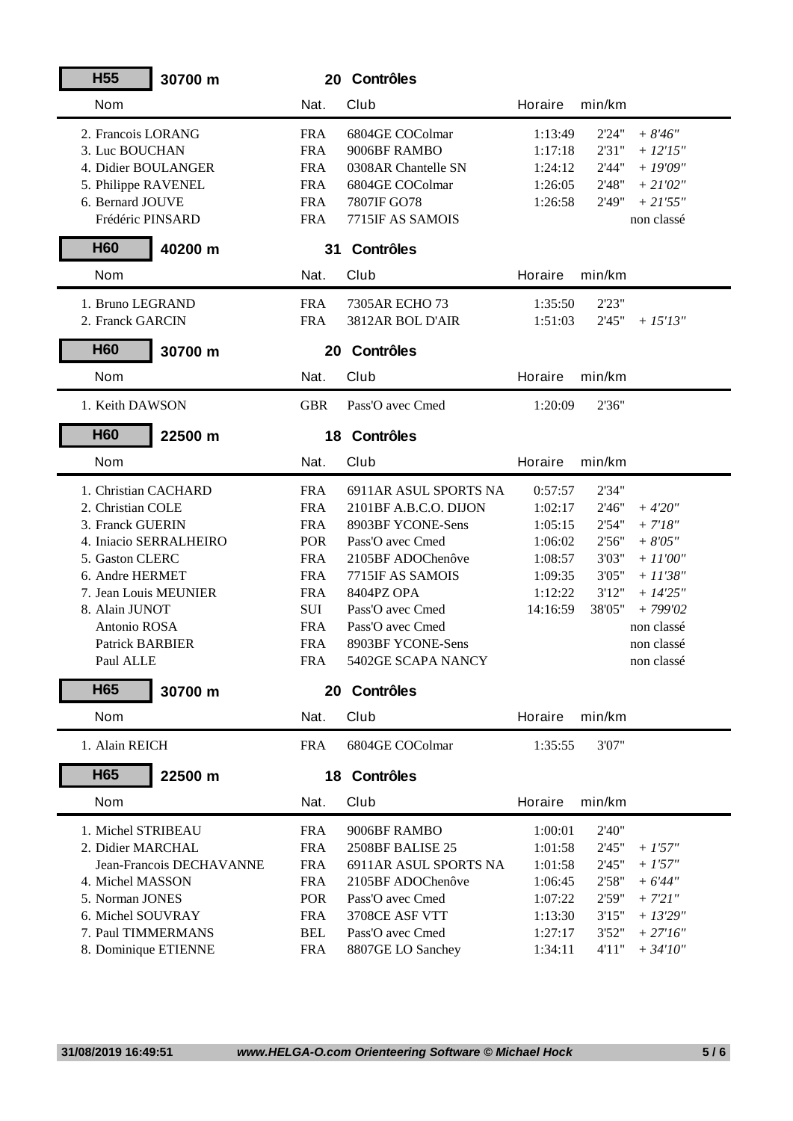| <b>H55</b>             | 30700 m                  |            | 20 Contrôles          |                |        |             |
|------------------------|--------------------------|------------|-----------------------|----------------|--------|-------------|
| <b>Nom</b>             |                          | Nat.       | <b>Club</b>           | Horaire        | min/km |             |
| 2. Francois LORANG     |                          | <b>FRA</b> | 6804GE COColmar       | 1:13:49        | 2'24"  | $+8'46''$   |
| 3. Luc BOUCHAN         |                          | <b>FRA</b> | 9006BF RAMBO          | 1:17:18        | 2'31"  | $+ 12'15''$ |
| 4. Didier BOULANGER    |                          | <b>FRA</b> | 0308AR Chantelle SN   | 1:24:12        | 2'44"  | $+19'09''$  |
| 5. Philippe RAVENEL    |                          | <b>FRA</b> | 6804GE COColmar       | 1:26:05        | 2'48"  | $+ 21'02''$ |
| 6. Bernard JOUVE       |                          | <b>FRA</b> | 7807IF GO78           | 1:26:58        | 2'49"  | $+ 21'55''$ |
| Frédéric PINSARD       |                          | <b>FRA</b> | 7715IF AS SAMOIS      |                |        | non classé  |
| <b>H60</b>             | 40200 m                  |            | 31 Contrôles          |                |        |             |
| <b>Nom</b>             |                          | Nat.       | Club                  | Horaire        | min/km |             |
| 1. Bruno LEGRAND       |                          | <b>FRA</b> | 7305AR ECHO 73        | 1:35:50        | 2'23"  |             |
| 2. Franck GARCIN       |                          | <b>FRA</b> | 3812AR BOL D'AIR      | 1:51:03        | 2'45"  | $+ 15'13''$ |
| <b>H60</b>             | 30700 m                  |            | 20 Contrôles          |                |        |             |
| <b>Nom</b>             |                          | Nat.       | <b>Club</b>           | <b>Horaire</b> | min/km |             |
| 1. Keith DAWSON        |                          | <b>GBR</b> | Pass'O avec Cmed      | 1:20:09        | 2'36"  |             |
| <b>H60</b>             | 22500 m                  |            | 18 Contrôles          |                |        |             |
| <b>Nom</b>             |                          | Nat.       | Club                  | Horaire        | min/km |             |
|                        |                          |            |                       |                |        |             |
| 1. Christian CACHARD   |                          | <b>FRA</b> | 6911AR ASUL SPORTS NA | 0:57:57        | 2'34"  |             |
| 2. Christian COLE      |                          | <b>FRA</b> | 2101BF A.B.C.O. DIJON | 1:02:17        | 2'46"  | $+4'20''$   |
| 3. Franck GUERIN       |                          | <b>FRA</b> | 8903BF YCONE-Sens     | 1:05:15        | 2'54"  | $+ 7'18''$  |
|                        | 4. Iniacio SERRALHEIRO   | <b>POR</b> | Pass'O avec Cmed      | 1:06:02        | 2'56"  | $+8'05"$    |
| 5. Gaston CLERC        |                          | <b>FRA</b> | 2105BF ADOChenôve     | 1:08:57        | 3'03"  | $+ 11'00''$ |
| 6. Andre HERMET        |                          | <b>FRA</b> | 7715IF AS SAMOIS      | 1:09:35        | 3'05"  | $+11'38''$  |
| 7. Jean Louis MEUNIER  |                          | <b>FRA</b> | 8404PZ OPA            | 1:12:22        | 3'12"  | $+ 14'25''$ |
| 8. Alain JUNOT         |                          | SUI        | Pass'O avec Cmed      | 14:16:59       | 38'05" | $+799'02$   |
| Antonio ROSA           |                          | <b>FRA</b> | Pass'O avec Cmed      |                |        | non classé  |
| <b>Patrick BARBIER</b> |                          | <b>FRA</b> | 8903BF YCONE-Sens     |                |        | non classé  |
| Paul ALLE              |                          | <b>FRA</b> | 5402GE SCAPA NANCY    |                |        | non classé  |
| H65                    | 30700 m                  |            | 20 Contrôles          |                |        |             |
| <b>Nom</b>             |                          | Nat.       | Club                  | Horaire        | min/km |             |
| 1. Alain REICH         |                          | <b>FRA</b> | 6804GE COColmar       | 1:35:55        | 3'07"  |             |
| H <sub>65</sub>        | 22500 m                  |            | 18 Contrôles          |                |        |             |
| <b>Nom</b>             |                          | Nat.       | Club                  | Horaire        | min/km |             |
| 1. Michel STRIBEAU     |                          | <b>FRA</b> | 9006BF RAMBO          | 1:00:01        | 2'40"  |             |
| 2. Didier MARCHAL      |                          | <b>FRA</b> | 2508BF BALISE 25      | 1:01:58        | 2'45"  | $+1'57''$   |
|                        | Jean-Francois DECHAVANNE | <b>FRA</b> | 6911AR ASUL SPORTS NA | 1:01:58        | 2'45"  | $+1'57''$   |
| 4. Michel MASSON       |                          | <b>FRA</b> | 2105BF ADOChenôve     | 1:06:45        | 2'58"  | $+ 6'44''$  |
| 5. Norman JONES        |                          | POR        | Pass'O avec Cmed      | 1:07:22        | 2'59"  | $+ 721"$    |
| 6. Michel SOUVRAY      |                          | <b>FRA</b> | 3708CE ASF VTT        | 1:13:30        | 3'15"  | $+13'29''$  |
| 7. Paul TIMMERMANS     |                          | <b>BEL</b> | Pass'O avec Cmed      | 1:27:17        | 3'52"  | $+ 27'16''$ |
| 8. Dominique ETIENNE   |                          | <b>FRA</b> | 8807GE LO Sanchey     | 1:34:11        | 4'11'' | $+ 34'10''$ |